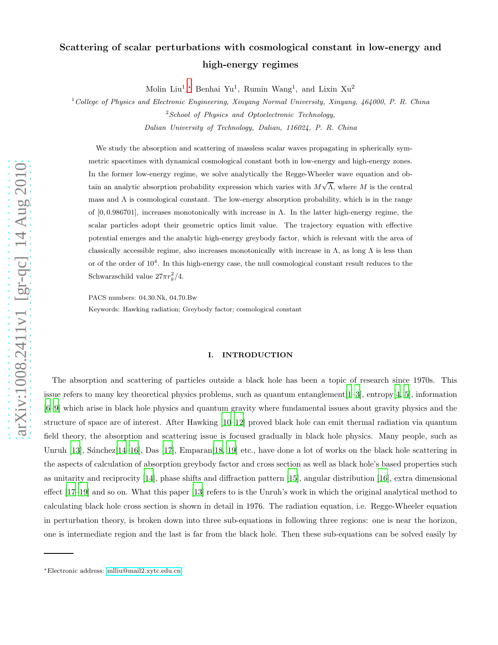# Scattering of scalar perturbations with cosmological constant in low-energy and high-energy regimes

Molin Liu<sup>1</sup>,\* Benhai Yu<sup>1</sup>, Rumin Wang<sup>1</sup>, and Lixin Xu<sup>2</sup>

<sup>1</sup>College of Physics and Electronic Engineering, Xinyang Normal University, Xinyang, 464000, P. R. China  $2$ School of Physics and Optoelectronic Technology, Dalian University of Technology, Dalian, 116024, P. R. China

We study the absorption and scattering of massless scalar waves propagating in spherically symmetric spacetimes with dynamical cosmological constant both in low-energy and high-energy zones. In the former low-energy regime, we solve analytically the Regge-Wheeler wave equation and obtain an analytic absorption probability expression which varies with  $M\sqrt{\Lambda}$ , where M is the central mass and  $\Lambda$  is cosmological constant. The low-energy absorption probability, which is in the range of  $[0, 0.986701]$ , increases monotonically with increase in  $\Lambda$ . In the latter high-energy regime, the scalar particles adopt their geometric optics limit value. The trajectory equation with effective potential emerges and the analytic high-energy greybody factor, which is relevant with the area of classically accessible regime, also increases monotonically with increase in  $\Lambda$ , as long  $\Lambda$  is less than or of the order of  $10^4$ . In this high-energy case, the null cosmological constant result reduces to the Schwarzschild value  $27\pi r_g^2/4$ .

PACS numbers: 04.30.Nk, 04.70.Bw

Keywords: Hawking radiation; Greybody factor; cosmological constant

#### I. INTRODUCTION

The absorption and scattering of particles outside a black hole has been a topic of research since 1970s. This issue refers to many key theoretical physics problems, such as quantum entanglement  $[1-3]$  $[1-3]$ , entropy $[4, 5]$  $[4, 5]$ , information [\[6](#page-10-4)[–9\]](#page-10-5) which arise in black hole physics and quantum gravity where fundamental issues about gravity physics and the structure of space are of interest. After Hawking [\[10](#page-10-6)[–12](#page-10-7)] proved black hole can emit thermal radiation via quantum field theory, the absorption and scattering issue is focused gradually in black hole physics. Many people, such as Unruh  $[13]$ , Sánchez $[14-16]$  $[14-16]$ , Das  $[17]$ , Emparan $[18, 19]$  $[18, 19]$  etc., have done a lot of works on the black hole scattering in the aspects of calculation of absorption greybody factor and cross section as well as black hole's based properties such as unitarity and reciprocity [\[14\]](#page-10-9), phase shifts and diffraction pattern [\[15](#page-10-14)], angular distribution [\[16\]](#page-10-10), extra dimensional effect [\[17](#page-10-11)[–19\]](#page-10-13) and so on. What this paper [\[13\]](#page-10-8) refers to is the Unruh's work in which the original analytical method to calculating black hole cross section is shown in detail in 1976. The radiation equation, i.e. Regge-Wheeler equation in perturbation theory, is broken down into three sub-equations in following three regions: one is near the horizon, one is intermediate region and the last is far from the black hole. Then these sub-equations can be solved easily by

<span id="page-0-0"></span><sup>∗</sup>Electronic address: [mlliu@mail2.xytc.edu.cn](mailto:mlliu@mail2.xytc.edu.cn)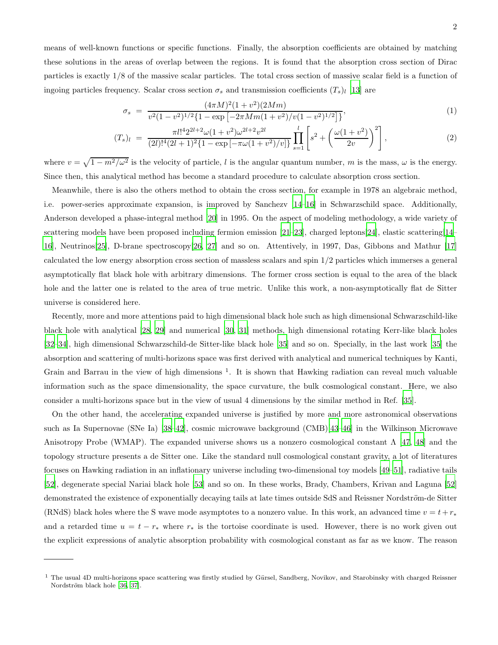means of well-known functions or specific functions. Finally, the absorption coefficients are obtained by matching these solutions in the areas of overlap between the regions. It is found that the absorption cross section of Dirac particles is exactly 1/8 of the massive scalar particles. The total cross section of massive scalar field is a function of ingoing particles frequency. Scalar cross section  $\sigma_s$  and transmission coefficients  $(T_s)_l$  [\[13\]](#page-10-8) are

<span id="page-1-0"></span>
$$
\sigma_s = \frac{(4\pi M)^2 (1 + v^2)(2Mm)}{v^2 (1 - v^2)^{1/2} \{1 - \exp\left[-2\pi M m (1 + v^2)/v (1 - v^2)^{1/2}\right]\}},\tag{1}
$$

$$
(T_s)_l = \frac{\pi l!^4 2^{2l+2} \omega (1+v^2) \omega^{2l+2} v^{2l}}{(2l)!^4 (2l+1)^2 \{1-\exp\left[-\pi \omega (1+v^2)/v\right]\}} \prod_{s=1}^l \left[ s^2 + \left(\frac{\omega (1+v^2)}{2v}\right)^2 \right],\tag{2}
$$

where  $v = \sqrt{1 - m^2/\omega^2}$  is the velocity of particle, l is the angular quantum number, m is the mass,  $\omega$  is the energy. Since then, this analytical method has become a standard procedure to calculate absorption cross section.

Meanwhile, there is also the others method to obtain the cross section, for example in 1978 an algebraic method, i.e. power-series approximate expansion, is improved by Sanchezv [\[14](#page-10-9)[–16](#page-10-10)] in Schwarzschild space. Additionally, Anderson developed a phase-integral method [\[20\]](#page-10-15) in 1995. On the aspect of modeling methodology, a wide variety of scattering models have been proposed including fermion emission [\[21](#page-10-16)[–23\]](#page-10-17), charged leptons[\[24\]](#page-10-18), elastic scattering[\[14](#page-10-9)– [16\]](#page-10-10), Neutrinos[\[25\]](#page-10-19), D-brane spectroscopy[\[26,](#page-10-20) [27\]](#page-10-21) and so on. Attentively, in 1997, Das, Gibbons and Mathur [\[17](#page-10-11)] calculated the low energy absorption cross section of massless scalars and spin 1/2 particles which immerses a general asymptotically flat black hole with arbitrary dimensions. The former cross section is equal to the area of the black hole and the latter one is related to the area of true metric. Unlike this work, a non-asymptotically flat de Sitter universe is considered here.

Recently, more and more attentions paid to high dimensional black hole such as high dimensional Schwarzschild-like black hole with analytical [\[28,](#page-10-22) [29](#page-10-23)] and numerical [\[30](#page-10-24), [31\]](#page-11-0) methods, high dimensional rotating Kerr-like black holes [\[32](#page-11-1)[–34\]](#page-11-2), high dimensional Schwarzschild-de Sitter-like black hole [\[35\]](#page-11-3) and so on. Specially, in the last work [\[35\]](#page-11-3) the absorption and scattering of multi-horizons space was first derived with analytical and numerical techniques by Kanti, Grain and Barrau in the view of high dimensions<sup>1</sup>. It is shown that Hawking radiation can reveal much valuable information such as the space dimensionality, the space curvature, the bulk cosmological constant. Here, we also consider a multi-horizons space but in the view of usual 4 dimensions by the similar method in Ref. [\[35\]](#page-11-3).

On the other hand, the accelerating expanded universe is justified by more and more astronomical observations such as Ia Supernovae (SNe Ia) [\[38](#page-11-4)[–42](#page-11-5)], cosmic microwave background (CMB)[\[43](#page-11-6)[–46](#page-11-7)] in the Wilkinson Microwave Anisotropy Probe (WMAP). The expanded universe shows us a nonzero cosmological constant  $\Lambda$  [\[47](#page-11-8), [48](#page-11-9)] and the topology structure presents a de Sitter one. Like the standard null cosmological constant gravity, a lot of literatures focuses on Hawking radiation in an inflationary universe including two-dimensional toy models [\[49](#page-11-10)[–51](#page-11-11)], radiative tails [\[52\]](#page-11-12), degenerate special Nariai black hole [\[53](#page-11-13)] and so on. In these works, Brady, Chambers, Krivan and Laguna [\[52](#page-11-12)] demonstrated the existence of exponentially decaying tails at late times outside SdS and Reissner Nordström-de Sitter (RNdS) black holes where the S wave mode asymptotes to a nonzero value. In this work, an advanced time  $v = t + r_*$ and a retarded time  $u = t - r_*$  where  $r_*$  is the tortoise coordinate is used. However, there is no work given out the explicit expressions of analytic absorption probability with cosmological constant as far as we know. The reason

<sup>&</sup>lt;sup>1</sup> The usual 4D multi-horizons space scattering was firstly studied by Gürsel, Sandberg, Novikov, and Starobinsky with charged Reissner Nordström black hole [\[36,](#page-11-14) [37](#page-11-15)].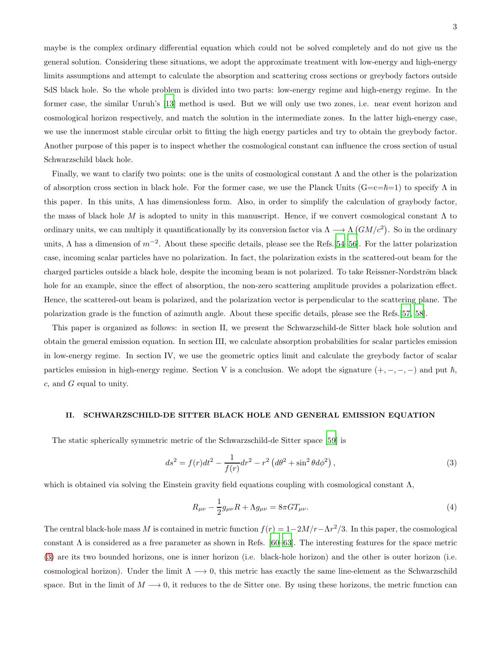maybe is the complex ordinary differential equation which could not be solved completely and do not give us the general solution. Considering these situations, we adopt the approximate treatment with low-energy and high-energy limits assumptions and attempt to calculate the absorption and scattering cross sections or greybody factors outside SdS black hole. So the whole problem is divided into two parts: low-energy regime and high-energy regime. In the former case, the similar Unruh's [\[13\]](#page-10-8) method is used. But we will only use two zones, i.e. near event horizon and cosmological horizon respectively, and match the solution in the intermediate zones. In the latter high-energy case, we use the innermost stable circular orbit to fitting the high energy particles and try to obtain the greybody factor. Another purpose of this paper is to inspect whether the cosmological constant can influence the cross section of usual Schwarzschild black hole.

Finally, we want to clarify two points: one is the units of cosmological constant  $\Lambda$  and the other is the polarization of absorption cross section in black hole. For the former case, we use the Planck Units  $(G=c=\hbar=1)$  to specify  $\Lambda$  in this paper. In this units,  $\Lambda$  has dimensionless form. Also, in order to simplify the calculation of graybody factor, the mass of black hole M is adopted to unity in this manuscript. Hence, if we convert cosmological constant  $\Lambda$  to ordinary units, we can multiply it quantificationally by its conversion factor via  $\Lambda \longrightarrow \Lambda$   $(GM/c^2)$ . So in the ordinary units,  $\Lambda$  has a dimension of  $m^{-2}$ . About these specific details, please see the Refs.[\[54](#page-11-16)[–56\]](#page-11-17). For the latter polarization case, incoming scalar particles have no polarization. In fact, the polarization exists in the scattered-out beam for the charged particles outside a black hole, despite the incoming beam is not polarized. To take Reissner-Nordström black hole for an example, since the effect of absorption, the non-zero scattering amplitude provides a polarization effect. Hence, the scattered-out beam is polarized, and the polarization vector is perpendicular to the scattering plane. The polarization grade is the function of azimuth angle. About these specific details, please see the Refs.[\[57,](#page-11-18) [58\]](#page-11-19).

This paper is organized as follows: in section II, we present the Schwarzschild-de Sitter black hole solution and obtain the general emission equation. In section III, we calculate absorption probabilities for scalar particles emission in low-energy regime. In section IV, we use the geometric optics limit and calculate the greybody factor of scalar particles emission in high-energy regime. Section V is a conclusion. We adopt the signature  $(+, -, -, -)$  and put  $\hbar$ , c, and G equal to unity.

### II. SCHWARZSCHILD-DE SITTER BLACK HOLE AND GENERAL EMISSION EQUATION

The static spherically symmetric metric of the Schwarzschild-de Sitter space [\[59\]](#page-11-20) is

<span id="page-2-0"></span>
$$
ds^{2} = f(r)dt^{2} - \frac{1}{f(r)}dr^{2} - r^{2} \left(d\theta^{2} + \sin^{2}\theta d\phi^{2}\right),
$$
\n(3)

which is obtained via solving the Einstein gravity field equations coupling with cosmological constant  $\Lambda$ ,

$$
R_{\mu\nu} - \frac{1}{2}g_{\mu\nu}R + \Lambda g_{\mu\nu} = 8\pi GT_{\mu\nu}.
$$
 (4)

The central black-hole mass M is contained in metric function  $f(r) = 1 - 2M/r - \Lambda r^2/3$ . In this paper, the cosmological constant  $\Lambda$  is considered as a free parameter as shown in Refs. [\[60](#page-11-21)[–63\]](#page-11-22). The interesting features for the space metric [\(3\)](#page-2-0) are its two bounded horizons, one is inner horizon (i.e. black-hole horizon) and the other is outer horizon (i.e. cosmological horizon). Under the limit  $\Lambda \longrightarrow 0$ , this metric has exactly the same line-element as the Schwarzschild space. But in the limit of  $M \longrightarrow 0$ , it reduces to the de Sitter one. By using these horizons, the metric function can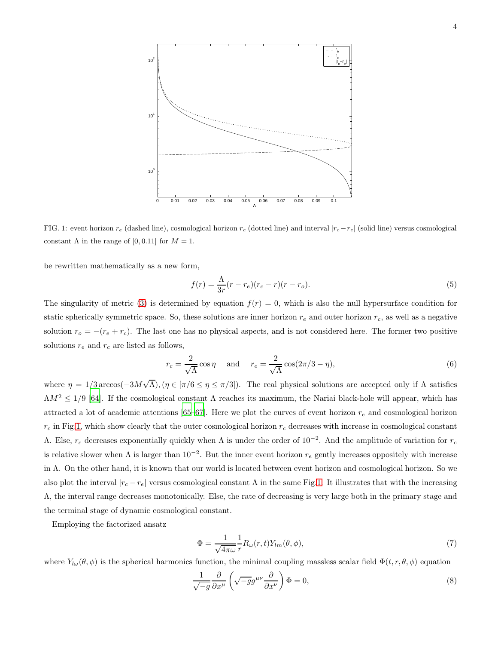

<span id="page-3-0"></span>FIG. 1: event horizon  $r_e$  (dashed line), cosmological horizon  $r_c$  (dotted line) and interval  $|r_c-r_e|$  (solid line) versus cosmological constant  $\Lambda$  in the range of [0, 0.11] for  $M = 1$ .

be rewritten mathematically as a new form,

$$
f(r) = \frac{\Lambda}{3r}(r - r_e)(r_c - r)(r - r_o).
$$
 (5)

The singularity of metric [\(3\)](#page-2-0) is determined by equation  $f(r) = 0$ , which is also the null hypersurface condition for static spherically symmetric space. So, these solutions are inner horizon  $r_e$  and outer horizon  $r_c$ , as well as a negative solution  $r_o = -(r_e + r_c)$ . The last one has no physical aspects, and is not considered here. The former two positive solutions  $r_e$  and  $r_c$  are listed as follows,

<span id="page-3-1"></span>
$$
r_c = \frac{2}{\sqrt{\Lambda}} \cos \eta \quad \text{and} \quad r_e = \frac{2}{\sqrt{\Lambda}} \cos(2\pi/3 - \eta), \tag{6}
$$

where  $\eta = 1/3 \arccos(-3M\sqrt{\Lambda})$ ,  $(\eta \in [\pi/6 \le \eta \le \pi/3])$ . The real physical solutions are accepted only if  $\Lambda$  satisfies  $\Lambda M^2 \leq 1/9$  [\[64\]](#page-11-23). If the cosmological constant  $\Lambda$  reaches its maximum, the Nariai black-hole will appear, which has attracted a lot of academic attentions [\[65](#page-11-24)[–67](#page-11-25)]. Here we plot the curves of event horizon  $r_e$  and cosmological horizon  $r_c$  in Fig[.1,](#page-3-0) which show clearly that the outer cosmological horizon  $r_c$  decreases with increase in cosmological constant Λ. Else,  $r_c$  decreases exponentially quickly when Λ is under the order of  $10^{-2}$ . And the amplitude of variation for  $r_c$ is relative slower when  $\Lambda$  is larger than  $10^{-2}$ . But the inner event horizon  $r_e$  gently increases oppositely with increase in Λ. On the other hand, it is known that our world is located between event horizon and cosmological horizon. So we also plot the interval  $|r_c - r_e|$  versus cosmological constant  $\Lambda$  in the same Fig[.1.](#page-3-0) It illustrates that with the increasing Λ, the interval range decreases monotonically. Else, the rate of decreasing is very large both in the primary stage and the terminal stage of dynamic cosmological constant.

Employing the factorized ansatz

$$
\Phi = \frac{1}{\sqrt{4\pi\omega}} \frac{1}{r} R_{\omega}(r, t) Y_{lm}(\theta, \phi), \tag{7}
$$

where  $Y_{l\omega}(\theta,\phi)$  is the spherical harmonics function, the minimal coupling massless scalar field  $\Phi(t,r,\theta,\phi)$  equation

$$
\frac{1}{\sqrt{-g}} \frac{\partial}{\partial x^{\mu}} \left( \sqrt{-g} g^{\mu \nu} \frac{\partial}{\partial x^{\nu}} \right) \Phi = 0, \tag{8}
$$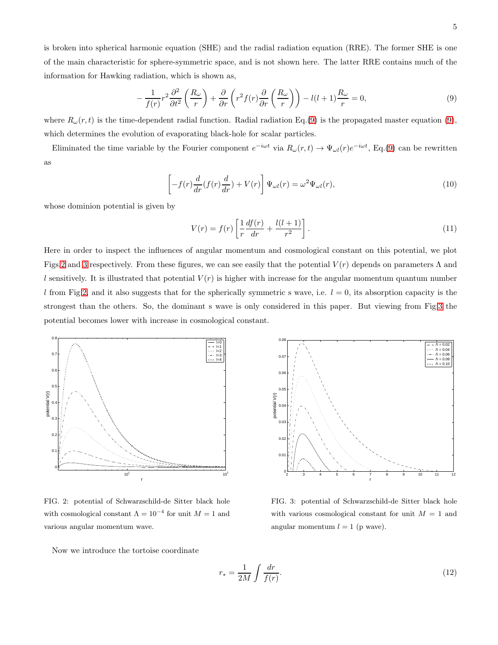is broken into spherical harmonic equation (SHE) and the radial radiation equation (RRE). The former SHE is one of the main characteristic for sphere-symmetric space, and is not shown here. The latter RRE contains much of the information for Hawking radiation, which is shown as,

<span id="page-4-0"></span>
$$
-\frac{1}{f(r)}r^2\frac{\partial^2}{\partial t^2}\left(\frac{R_\omega}{r}\right) + \frac{\partial}{\partial r}\left(r^2f(r)\frac{\partial}{\partial r}\left(\frac{R_\omega}{r}\right)\right) - l(l+1)\frac{R_\omega}{r} = 0,\tag{9}
$$

where  $R_{\omega}(r,t)$  is the time-dependent radial function. Radial radiation Eq.[\(9\)](#page-4-0) is the propagated master equation [\(9\)](#page-4-0), which determines the evolution of evaporating black-hole for scalar particles.

Eliminated the time variable by the Fourier component  $e^{-i\omega t}$  via  $R_\omega(r,t) \to \Psi_{\omega l}(r)e^{-i\omega t}$ , Eq.[\(9\)](#page-4-0) can be rewritten as

<span id="page-4-4"></span>
$$
\left[-f(r)\frac{d}{dr}(f(r)\frac{d}{dr}) + V(r)\right]\Psi_{\omega l}(r) = \omega^2\Psi_{\omega l}(r),\tag{10}
$$

whose dominion potential is given by

<span id="page-4-5"></span>
$$
V(r) = f(r) \left[ \frac{1}{r} \frac{df(r)}{dr} + \frac{l(l+1)}{r^2} \right].
$$
\n(11)

Here in order to inspect the influences of angular momentum and cosmological constant on this potential, we plot Figs[.2](#page-4-1) and [3](#page-4-2) respectively. From these figures, we can see easily that the potential  $V(r)$  depends on parameters  $\Lambda$  and l sensitively. It is illustrated that potential  $V(r)$  is higher with increase for the angular momentum quantum number l from Fig[.2,](#page-4-1) and it also suggests that for the spherically symmetric s wave, i.e.  $l = 0$ , its absorption capacity is the strongest than the others. So, the dominant s wave is only considered in this paper. But viewing from Fig[.3](#page-4-2) the potential becomes lower with increase in cosmological constant.



<span id="page-4-1"></span>FIG. 2: potential of Schwarzschild-de Sitter black hole with cosmological constant  $\Lambda = 10^{-4}$  for unit  $M = 1$  and various angular momentum wave.

 $0.0$  $0.001$  $\Lambda = 0.02$ <br> $\Lambda = 0.04$  $\Lambda = 0.06$  $0.07$  $\frac{0.00}{0.00}$  H  $\Lambda = 0.08$  $\Lambda = 0.00$ 0.06  $0.0$ potential V(r) potential V(r) 0.04  $0.03$  $0.0$  $0.0$ 2 3 4 5 6 7 8 9 10 11 12 r

<span id="page-4-2"></span>FIG. 3: potential of Schwarzschild-de Sitter black hole with various cosmological constant for unit  $M = 1$  and angular momentum  $l = 1$  (p wave).

Now we introduce the tortoise coordinate

<span id="page-4-3"></span>
$$
r_* = \frac{1}{2M} \int \frac{dr}{f(r)}.\tag{12}
$$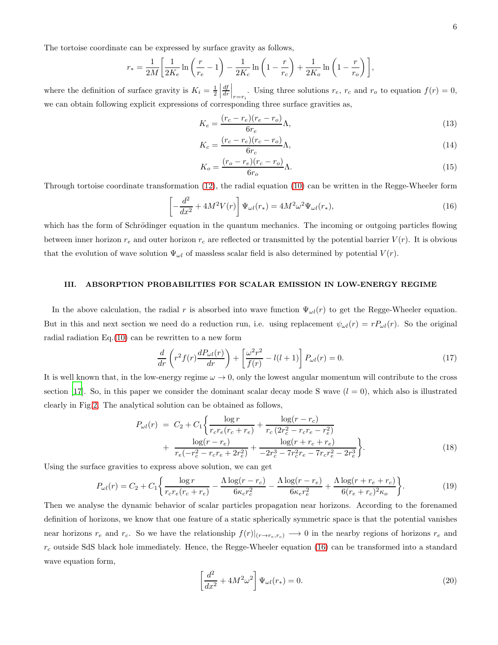The tortoise coordinate can be expressed by surface gravity as follows,

$$
r_* = \frac{1}{2M} \left[ \frac{1}{2K_e} \ln \left( \frac{r}{r_e} - 1 \right) - \frac{1}{2K_c} \ln \left( 1 - \frac{r}{r_c} \right) + \frac{1}{2K_o} \ln \left( 1 - \frac{r}{r_o} \right) \right],
$$

where the definition of surface gravity is  $K_i = \frac{1}{2}$  $\frac{df}{dr}\Big|_{r=r_i}$ . Using three solutions  $r_e$ ,  $r_c$  and  $r_o$  to equation  $f(r) = 0$ , we can obtain following explicit expressions of corresponding three surface gravities as,

$$
K_e = \frac{(r_c - r_e)(r_e - r_o)}{6r_e} \Lambda,\tag{13}
$$

$$
K_c = \frac{(r_c - r_e)(r_c - r_o)}{6r_c} \Lambda,\tag{14}
$$

$$
K_o = \frac{(r_o - r_e)(r_c - r_o)}{6r_o} \Lambda.
$$
\n(15)

Through tortoise coordinate transformation [\(12\)](#page-4-3), the radial equation [\(10\)](#page-4-4) can be written in the Regge-Wheeler form

<span id="page-5-0"></span>
$$
\left[-\frac{d^2}{dx^2} + 4M^2V(r)\right]\Psi_{\omega l}(r_*) = 4M^2\omega^2\Psi_{\omega l}(r_*),\tag{16}
$$

which has the form of Schrödinger equation in the quantum mechanics. The incoming or outgoing particles flowing between inner horizon  $r_e$  and outer horizon  $r_c$  are reflected or transmitted by the potential barrier  $V(r)$ . It is obvious that the evolution of wave solution  $\Psi_{\omega l}$  of massless scalar field is also determined by potential  $V(r)$ .

#### III. ABSORPTION PROBABILITIES FOR SCALAR EMISSION IN LOW-ENERGY REGIME

In the above calculation, the radial r is absorbed into wave function  $\Psi_{\omega l}(r)$  to get the Regge-Wheeler equation. But in this and next section we need do a reduction run, i.e. using replacement  $\psi_{\omega l}(r) = r P_{\omega l}(r)$ . So the original radial radiation  $Eq.(10)$  $Eq.(10)$  can be rewritten to a new form

$$
\frac{d}{dr}\left(r^2f(r)\frac{dP_{\omega l}(r)}{dr}\right) + \left[\frac{\omega^2r^2}{f(r)} - l(l+1)\right]P_{\omega l}(r) = 0.
$$
\n(17)

It is well known that, in the low-energy regime  $\omega \to 0$ , only the lowest angular momentum will contribute to the cross section [\[17](#page-10-11)]. So, in this paper we consider the dominant scalar decay mode S wave  $(l = 0)$ , which also is illustrated clearly in Fig[.2.](#page-4-1) The analytical solution can be obtained as follows,

$$
P_{\omega l}(r) = C_2 + C_1 \left\{ \frac{\log r}{r_c r_e (r_c + r_e)} + \frac{\log (r - r_c)}{r_c (2r_c^2 - r_c r_e - r_e^2)} + \frac{\log (r - r_e)}{r_e (-r_c^2 - r_c r_e + 2r_e^2)} + \frac{\log (r + r_c + r_e)}{-2r_c^3 - 7r_c^2 r_e - 7r_c r_e^2 - 2r_e^3} \right\}.
$$
\n(18)

Using the surface gravities to express above solution, we can get

<span id="page-5-1"></span>
$$
P_{\omega l}(r) = C_2 + C_1 \bigg\{ \frac{\log r}{r_c r_e (r_c + r_e)} - \frac{\Lambda \log (r - r_c)}{6 \kappa_c r_c^2} - \frac{\Lambda \log (r - r_e)}{6 \kappa_e r_e^2} + \frac{\Lambda \log (r + r_e + r_c)}{6 (r_e + r_c)^2 \kappa_o} \bigg\}.
$$
(19)

Then we analyse the dynamic behavior of scalar particles propagation near horizons. According to the forenamed definition of horizons, we know that one feature of a static spherically symmetric space is that the potential vanishes near horizons  $r_e$  and  $r_c$ . So we have the relationship  $f(r)|_{(r\to r_e,r_c)} \to 0$  in the nearby regions of horizons  $r_e$  and  $r_c$  outside SdS black hole immediately. Hence, the Regge-Wheeler equation [\(16\)](#page-5-0) can be transformed into a standard wave equation form,

$$
\left[\frac{d^2}{dx^2} + 4M^2\omega^2\right]\Psi_{\omega l}(r_*) = 0.\tag{20}
$$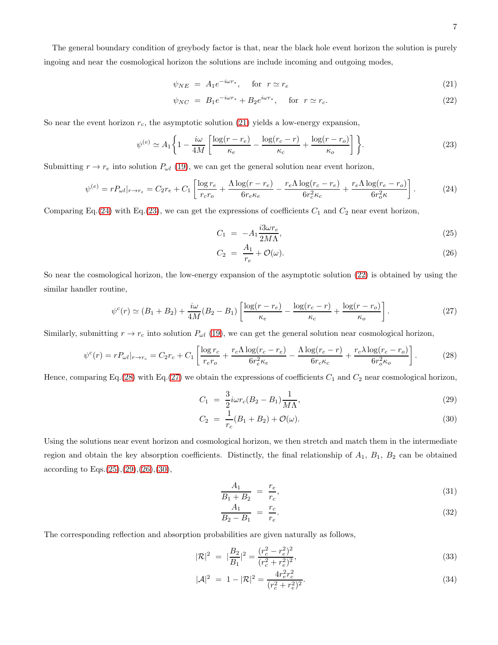The general boundary condition of greybody factor is that, near the black hole event horizon the solution is purely ingoing and near the cosmological horizon the solutions are include incoming and outgoing modes,

<span id="page-6-0"></span>
$$
\psi_{NE} = A_1 e^{-i\omega r_*}, \quad \text{for } r \simeq r_e \tag{21}
$$

$$
\psi_{NC} = B_1 e^{-i\omega r_*} + B_2 e^{i\omega r_*}, \quad \text{for } r \simeq r_c. \tag{22}
$$

So near the event horizon  $r_c$ , the asymptotic solution [\(21\)](#page-6-0) yields a low-energy expansion,

<span id="page-6-2"></span>
$$
\psi^{(e)} \simeq A_1 \left\{ 1 - \frac{i\omega}{4M} \left[ \frac{\log(r - r_e)}{\kappa_e} - \frac{\log(r_c - r)}{\kappa_c} + \frac{\log(r - r_o)}{\kappa_o} \right] \right\}.
$$
\n(23)

Submitting  $r \to r_e$  into solution  $P_{\omega l}$  [\(19\)](#page-5-1), we can get the general solution near event horizon,

<span id="page-6-1"></span>
$$
\psi^{(e)} = rP_{\omega l}|_{r \to r_e} = C_2 r_e + C_1 \left[ \frac{\log r_e}{r_c r_o} + \frac{\Lambda \log (r - r_e)}{6r_e \kappa_e} - \frac{r_e \Lambda \log (r_c - r_e)}{6r_c^2 \kappa_c} + \frac{r_e \Lambda \log (r_e - r_o)}{6r_o^2 \kappa} \right].
$$
 (24)

Comparing Eq.[\(24\)](#page-6-1) with Eq.[\(23\)](#page-6-2), we can get the expressions of coefficients  $C_1$  and  $C_2$  near event horizon,

<span id="page-6-5"></span>
$$
C_1 = -A_1 \frac{i3\omega r_e}{2M\Lambda},\tag{25}
$$

$$
C_2 = \frac{A_1}{r_e} + \mathcal{O}(\omega). \tag{26}
$$

So near the cosmological horizon, the low-energy expansion of the asymptotic solution [\(22\)](#page-6-0) is obtained by using the similar handler routine,

<span id="page-6-4"></span>
$$
\psi^{c}(r) \simeq (B_1 + B_2) + \frac{i\omega}{4M}(B_2 - B_1) \left[ \frac{\log(r - r_e)}{\kappa_e} - \frac{\log(r_c - r)}{\kappa_c} + \frac{\log(r - r_o)}{\kappa_o} \right].
$$
\n(27)

Similarly, submitting  $r \to r_c$  into solution  $P_{\omega l}$  [\(19\)](#page-5-1), we can get the general solution near cosmological horizon,

<span id="page-6-3"></span>
$$
\psi^c(r) = rP_{\omega l}|_{r \to r_c} = C_2 r_c + C_1 \left[ \frac{\log r_c}{r_c r_o} + \frac{r_c \Lambda \log(r_c - r_e)}{6r_c^2 \kappa_e} - \frac{\Lambda \log(r_c - r)}{6r_c \kappa_c} + \frac{r_c \lambda \log(r_c - r_o)}{6r_o^2 \kappa_o} \right].
$$
 (28)

Hence, comparing Eq.[\(28\)](#page-6-3) with Eq.[\(27\)](#page-6-4) we obtain the expressions of coefficients  $C_1$  and  $C_2$  near cosmological horizon,

<span id="page-6-6"></span>
$$
C_1 = \frac{3}{2} i \omega r_c (B_2 - B_1) \frac{1}{M\Lambda},
$$
\n(29)

$$
C_2 = \frac{1}{r_c}(B_1 + B_2) + \mathcal{O}(\omega).
$$
\n(30)

Using the solutions near event horizon and cosmological horizon, we then stretch and match them in the intermediate region and obtain the key absorption coefficients. Distinctly, the final relationship of  $A_1$ ,  $B_1$ ,  $B_2$  can be obtained according to Eqs. $(25),(29),(26),(30),$  $(25),(29),(26),(30),$  $(25),(29),(26),(30),$  $(25),(29),(26),(30),$  $(25),(29),(26),(30),$  $(25),(29),(26),(30),$  $(25),(29),(26),(30),$  $(25),(29),(26),(30),$ 

$$
\frac{A_1}{B_1 + B_2} = \frac{r_e}{r_c},\tag{31}
$$

$$
\frac{A_1}{B_2 - B_1} = \frac{r_c}{r_e}.\tag{32}
$$

The corresponding reflection and absorption probabilities are given naturally as follows,

<span id="page-6-7"></span>
$$
|\mathcal{R}|^2 = |\frac{B_2}{B_1}|^2 = \frac{(r_c^2 - r_e^2)^2}{(r_c^2 + r_e^2)^2},\tag{33}
$$

$$
|\mathcal{A}|^2 = 1 - |\mathcal{R}|^2 = \frac{4r_e^2 r_c^2}{(r_c^2 + r_e^2)^2}.
$$
\n(34)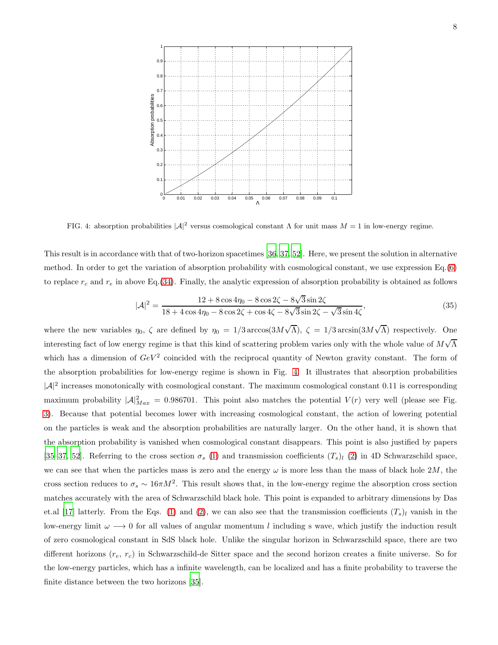

<span id="page-7-0"></span>FIG. 4: absorption probabilities  $|\mathcal{A}|^2$  versus cosmological constant  $\Lambda$  for unit mass  $M = 1$  in low-energy regime.

This result is in accordance with that of two-horizon spacetimes [\[36,](#page-11-14) [37,](#page-11-15) [52\]](#page-11-12). Here, we present the solution in alternative method. In order to get the variation of absorption probability with cosmological constant, we use expression Eq.[\(6\)](#page-3-1) to replace  $r_c$  and  $r_e$  in above Eq.[\(34\)](#page-6-7). Finally, the analytic expression of absorption probability is obtained as follows

$$
|\mathcal{A}|^2 = \frac{12 + 8\cos 4\eta_0 - 8\cos 2\zeta - 8\sqrt{3}\sin 2\zeta}{18 + 4\cos 4\eta_0 - 8\cos 2\zeta + \cos 4\zeta - 8\sqrt{3}\sin 2\zeta - \sqrt{3}\sin 4\zeta},
$$
\n(35)

where the new variables  $\eta_0$ ,  $\zeta$  are defined by  $\eta_0 = 1/3 \arccos(3M\sqrt{\Lambda})$ ,  $\zeta = 1/3 \arcsin(3M\sqrt{\Lambda})$  respectively. One interesting fact of low energy regime is that this kind of scattering problem varies only with the whole value of  $M\sqrt{\Lambda}$ which has a dimension of  $GeV^2$  coincided with the reciprocal quantity of Newton gravity constant. The form of the absorption probabilities for low-energy regime is shown in Fig. [4.](#page-7-0) It illustrates that absorption probabilities  $|\mathcal{A}|^2$  increases monotonically with cosmological constant. The maximum cosmological constant 0.11 is corresponding maximum probability  $|A|_{Max}^2 = 0.986701$ . This point also matches the potential  $V(r)$  very well (please see Fig. [3\)](#page-4-2). Because that potential becomes lower with increasing cosmological constant, the action of lowering potential on the particles is weak and the absorption probabilities are naturally larger. On the other hand, it is shown that the absorption probability is vanished when cosmological constant disappears. This point is also justified by papers [\[35](#page-11-3)[–37,](#page-11-15) [52](#page-11-12)]. Referring to the cross section  $\sigma_s$  [\(1\)](#page-1-0) and transmission coefficients  $(T_s)_l$  [\(2\)](#page-1-0) in 4D Schwarzschild space, we can see that when the particles mass is zero and the energy  $\omega$  is more less than the mass of black hole 2M, the cross section reduces to  $\sigma_s \sim 16\pi M^2$ . This result shows that, in the low-energy regime the absorption cross section matches accurately with the area of Schwarzschild black hole. This point is expanded to arbitrary dimensions by Das et.al [\[17\]](#page-10-11) latterly. From the Eqs. [\(1\)](#page-1-0) and [\(2\)](#page-1-0), we can also see that the transmission coefficients  $(T_s)_l$  vanish in the low-energy limit  $\omega \longrightarrow 0$  for all values of angular momentum l including s wave, which justify the induction result of zero cosmological constant in SdS black hole. Unlike the singular horizon in Schwarzschild space, there are two different horizons  $(r_e, r_c)$  in Schwarzschild-de Sitter space and the second horizon creates a finite universe. So for the low-energy particles, which has a infinite wavelength, can be localized and has a finite probability to traverse the finite distance between the two horizons [\[35\]](#page-11-3).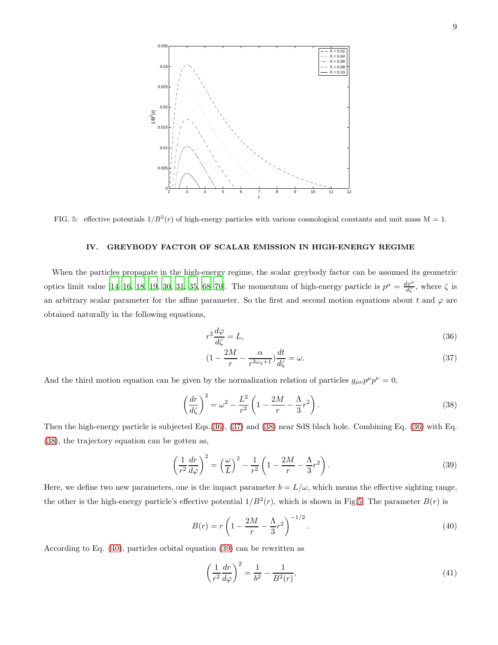

FIG. 5: effective potentials  $1/B^2(r)$  of high-energy particles with various cosmological constants and unit mass M = 1.

#### <span id="page-8-2"></span>IV. GREYBODY FACTOR OF SCALAR EMISSION IN HIGH-ENERGY REGIME

When the particles propagate in the high-energy regime, the scalar greybody factor can be assumed its geometric optics limit value [\[14](#page-10-9)[–16,](#page-10-10) [18](#page-10-12), [19,](#page-10-13) [30,](#page-10-24) [31](#page-11-0), [35,](#page-11-3) [68](#page-11-26)[–70\]](#page-11-27). The momentum of high-energy particle is  $p^{\mu} = \frac{dx^{\mu}}{d\zeta}$ , where  $\zeta$  is an arbitrary scalar parameter for the affine parameter. So the first and second motion equations about t and  $\varphi$  are obtained naturally in the following equations,

<span id="page-8-0"></span>
$$
r^2 \frac{d\varphi}{d\zeta} = L,\tag{36}
$$

$$
(1 - \frac{2M}{r} - \frac{\alpha}{r^{3\omega_q + 1}}) \frac{dt}{d\zeta} = \omega.
$$
\n(37)

And the third motion equation can be given by the normalization relation of particles  $g_{\mu\nu}p^{\mu}p^{\nu} = 0$ ,

<span id="page-8-1"></span>
$$
\left(\frac{dr}{d\zeta}\right)^2 = \omega^2 - \frac{L^2}{r^2} \left(1 - \frac{2M}{r} - \frac{\Lambda}{3}r^2\right).
$$
\n(38)

Then the high-energy particle is subjected Eqs.[\(36\)](#page-8-0), [\(37\)](#page-8-0) and [\(38\)](#page-8-1) near SdS black hole. Combining Eq. [\(36\)](#page-8-0) with Eq. [\(38\)](#page-8-1), the trajectory equation can be gotten as,

<span id="page-8-4"></span>
$$
\left(\frac{1}{r^2}\frac{dr}{d\varphi}\right)^2 = \left(\frac{\omega}{L}\right)^2 - \frac{1}{r^2}\left(1 - \frac{2M}{r} - \frac{\Lambda}{3}r^2\right).
$$
\n(39)

Here, we define two new parameters, one is the impact parameter  $b = L/\omega$ , which means the effective sighting range, the other is the high-energy particle's effective potential  $1/B^2(r)$ , which is shown in Fig[.5.](#page-8-2) The parameter  $B(r)$  is

<span id="page-8-3"></span>
$$
B(r) = r \left( 1 - \frac{2M}{r} - \frac{\Lambda}{3} r^2 \right)^{-1/2}.
$$
\n(40)

According to Eq. [\(40\)](#page-8-3), particles orbital equation [\(39\)](#page-8-4) can be rewritten as

$$
\left(\frac{1}{r^2}\frac{dr}{d\varphi}\right)^2 = \frac{1}{b^2} - \frac{1}{B^2(r)},
$$
\n(41)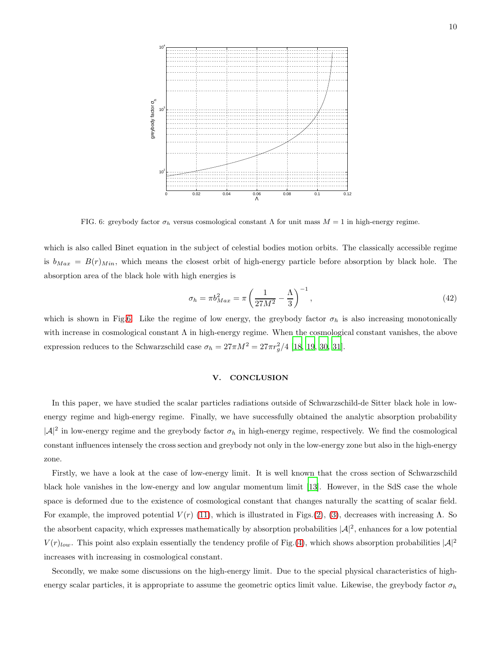

<span id="page-9-0"></span>FIG. 6: greybody factor  $\sigma_h$  versus cosmological constant  $\Lambda$  for unit mass  $M = 1$  in high-energy regime.

which is also called Binet equation in the subject of celestial bodies motion orbits. The classically accessible regime is  $b_{Max} = B(r)_{Min}$ , which means the closest orbit of high-energy particle before absorption by black hole. The absorption area of the black hole with high energies is

$$
\sigma_h = \pi b_{Max}^2 = \pi \left(\frac{1}{27M^2} - \frac{\Lambda}{3}\right)^{-1},
$$
\n(42)

which is shown in Fig[.6.](#page-9-0) Like the regime of low energy, the greybody factor  $\sigma_h$  is also increasing monotonically with increase in cosmological constant  $\Lambda$  in high-energy regime. When the cosmological constant vanishes, the above expression reduces to the Schwarzschild case  $\sigma_h = 27\pi M^2 = 27\pi r_g^2/4$  [\[18](#page-10-12), [19](#page-10-13), [30](#page-10-24), [31](#page-11-0)].

## V. CONCLUSION

In this paper, we have studied the scalar particles radiations outside of Schwarzschild-de Sitter black hole in lowenergy regime and high-energy regime. Finally, we have successfully obtained the analytic absorption probability  $|\mathcal{A}|^2$  in low-energy regime and the greybody factor  $\sigma_h$  in high-energy regime, respectively. We find the cosmological constant influences intensely the cross section and greybody not only in the low-energy zone but also in the high-energy zone.

Firstly, we have a look at the case of low-energy limit. It is well known that the cross section of Schwarzschild black hole vanishes in the low-energy and low angular momentum limit [\[13\]](#page-10-8). However, in the SdS case the whole space is deformed due to the existence of cosmological constant that changes naturally the scatting of scalar field. For example, the improved potential  $V(r)$  [\(11\)](#page-4-5), which is illustrated in Figs.[\(2\)](#page-4-1), [\(3\)](#page-4-2), decreases with increasing  $\Lambda$ . So the absorbent capacity, which expresses mathematically by absorption probabilities  $|\mathcal{A}|^2$ , enhances for a low potential  $V(r)_{low}$ . This point also explain essentially the tendency profile of Fig.[\(4\)](#page-7-0), which shows absorption probabilities  $|\mathcal{A}|^2$ increases with increasing in cosmological constant.

Secondly, we make some discussions on the high-energy limit. Due to the special physical characteristics of highenergy scalar particles, it is appropriate to assume the geometric optics limit value. Likewise, the greybody factor  $\sigma_h$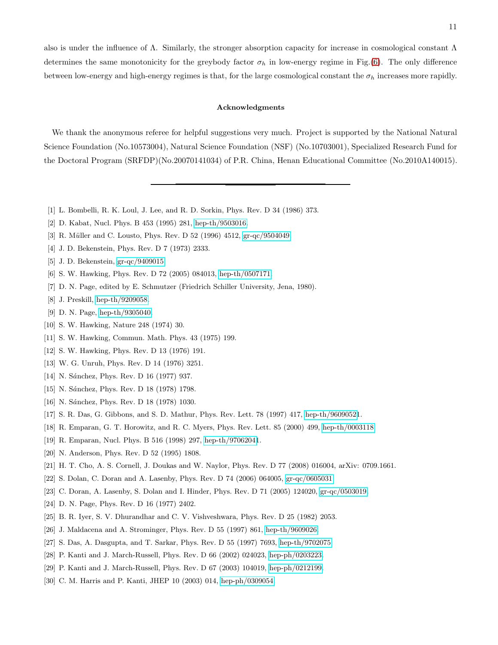also is under the influence of  $\Lambda$ . Similarly, the stronger absorption capacity for increase in cosmological constant  $\Lambda$ determines the same monotonicity for the greybody factor  $\sigma_h$  in low-energy regime in Fig.[\(6\)](#page-9-0). The only difference between low-energy and high-energy regimes is that, for the large cosmological constant the  $\sigma_h$  increases more rapidly.

#### Acknowledgments

We thank the anonymous referee for helpful suggestions very much. Project is supported by the National Natural Science Foundation (No.10573004), Natural Science Foundation (NSF) (No.10703001), Specialized Research Fund for the Doctoral Program (SRFDP)(No.20070141034) of P.R. China, Henan Educational Committee (No.2010A140015).

- <span id="page-10-0"></span>[1] L. Bombelli, R. K. Loul, J. Lee, and R. D. Sorkin, Phys. Rev. D 34 (1986) 373.
- [2] D. Kabat, Nucl. Phys. B 453 (1995) 281, [hep-th/9503016.](http://arxiv.org/abs/hep-th/9503016)
- <span id="page-10-1"></span>[3] R. Müller and C. Lousto, Phys. Rev. D 52 (1996) 4512, [gr-qc/9504049.](http://arxiv.org/abs/gr-qc/9504049)
- <span id="page-10-2"></span>[4] J. D. Bekenstein, Phys. Rev. D 7 (1973) 2333.
- <span id="page-10-3"></span>[5] J. D. Bekenstein, [gr-qc/9409015.](http://arxiv.org/abs/gr-qc/9409015)
- <span id="page-10-4"></span>[6] S. W. Hawking, Phys. Rev. D 72 (2005) 084013, [hep-th/0507171.](http://arxiv.org/abs/hep-th/0507171)
- [7] D. N. Page, edited by E. Schmutzer (Friedrich Schiller University, Jena, 1980).
- [8] J. Preskill, [hep-th/9209058.](http://arxiv.org/abs/hep-th/9209058)
- <span id="page-10-5"></span>[9] D. N. Page, [hep-th/9305040.](http://arxiv.org/abs/hep-th/9305040)
- <span id="page-10-6"></span>[10] S. W. Hawking, Nature 248 (1974) 30.
- [11] S. W. Hawking, Commun. Math. Phys. 43 (1975) 199.
- <span id="page-10-7"></span>[12] S. W. Hawking, Phys. Rev. D 13 (1976) 191.
- <span id="page-10-8"></span>[13] W. G. Unruh, Phys. Rev. D 14 (1976) 3251.
- <span id="page-10-9"></span>[14] N. Sánchez, Phys. Rev. D 16 (1977) 937.
- <span id="page-10-14"></span>[15] N. Sánchez, Phys. Rev. D 18 (1978) 1798.
- <span id="page-10-10"></span>[16] N. Sánchez, Phys. Rev. D 18 (1978) 1030.
- <span id="page-10-11"></span>[17] S. R. Das, G. Gibbons, and S. D. Mathur, Phys. Rev. Lett. 78 (1997) 417, [hep-th/96090521](http://arxiv.org/abs/hep-th/9609052).
- <span id="page-10-12"></span>[18] R. Emparan, G. T. Horowitz, and R. C. Myers, Phys. Rev. Lett. 85 (2000) 499, [hep-th/0003118.](http://arxiv.org/abs/hep-th/0003118)
- <span id="page-10-13"></span>[19] R. Emparan, Nucl. Phys. B 516 (1998) 297, [hep-th/97062041](http://arxiv.org/abs/hep-th/9706204).
- <span id="page-10-15"></span>[20] N. Anderson, Phys. Rev. D 52 (1995) 1808.
- <span id="page-10-16"></span>[21] H. T. Cho, A. S. Cornell, J. Doukas and W. Naylor, Phys. Rev. D 77 (2008) 016004, arXiv: 0709.1661.
- [22] S. Dolan, C. Doran and A. Lasenby, Phys. Rev. D 74 (2006) 064005, [gr-qc/0605031.](http://arxiv.org/abs/gr-qc/0605031)
- <span id="page-10-17"></span>[23] C. Doran, A. Lasenby, S. Dolan and I. Hinder, Phys. Rev. D 71 (2005) 124020, [gr-qc/0503019.](http://arxiv.org/abs/gr-qc/0503019)
- <span id="page-10-18"></span>[24] D. N. Page, Phys. Rev. D 16 (1977) 2402.
- <span id="page-10-19"></span>[25] B. R. Iyer, S. V. Dhurandhar and C. V. Vishveshwara, Phys. Rev. D 25 (1982) 2053.
- <span id="page-10-20"></span>[26] J. Maldacena and A. Strominger, Phys. Rev. D 55 (1997) 861, [hep-th/9609026.](http://arxiv.org/abs/hep-th/9609026)
- <span id="page-10-21"></span>[27] S. Das, A. Dasgupta, and T. Sarkar, Phys. Rev. D 55 (1997) 7693, [hep-th/9702075.](http://arxiv.org/abs/hep-th/9702075)
- <span id="page-10-22"></span>[28] P. Kanti and J. March-Russell, Phys. Rev. D 66 (2002) 024023, [hep-ph/0203223.](http://arxiv.org/abs/hep-ph/0203223)
- <span id="page-10-23"></span>[29] P. Kanti and J. March-Russell, Phys. Rev. D 67 (2003) 104019, [hep-ph/0212199.](http://arxiv.org/abs/hep-ph/0212199)
- <span id="page-10-24"></span>[30] C. M. Harris and P. Kanti, JHEP 10 (2003) 014, [hep-ph/0309054.](http://arxiv.org/abs/hep-ph/0309054)